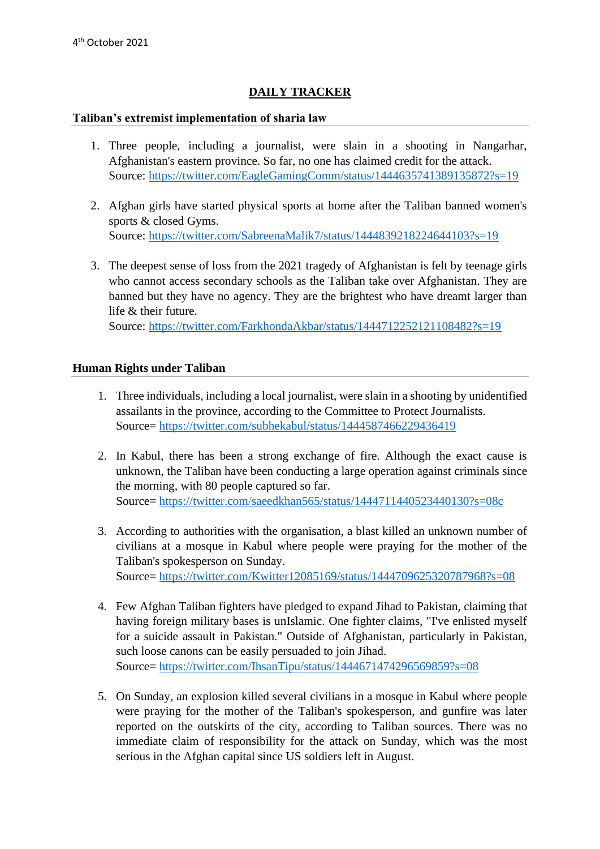## **DAILY TRACKER**

## **Taliban's extremist implementation of sharia law**

- 1. Three people, including a journalist, were slain in a shooting in Nangarhar, Afghanistan's eastern province. So far, no one has claimed credit for the attack. Source: <https://twitter.com/EagleGamingComm/status/1444635741389135872?s=19>
- 2. Afghan girls have started physical sports at home after the Taliban banned women's sports & closed Gyms. Source: <https://twitter.com/SabreenaMalik7/status/1444839218224644103?s=19>
- 3. The deepest sense of loss from the 2021 tragedy of Afghanistan is felt by teenage girls who cannot access secondary schools as the Taliban take over Afghanistan. They are banned but they have no agency. They are the brightest who have dreamt larger than life & their future.

Source: <https://twitter.com/FarkhondaAkbar/status/1444712252121108482?s=19>

## **Human Rights under Taliban**

- 1. Three individuals, including a local journalist, were slain in a shooting by unidentified assailants in the province, according to the Committee to Protect Journalists. Source=<https://twitter.com/subhekabul/status/1444587466229436419>
- 2. In Kabul, there has been a strong exchange of fire. Although the exact cause is unknown, the Taliban have been conducting a large operation against criminals since the morning, with 80 people captured so far. Source=<https://twitter.com/saeedkhan565/status/1444711440523440130?s=08c>
- 3. According to authorities with the organisation, a blast killed an unknown number of civilians at a mosque in Kabul where people were praying for the mother of the Taliban's spokesperson on Sunday. Source=<https://twitter.com/Kwitter12085169/status/1444709625320787968?s=08>
- 4. Few Afghan Taliban fighters have pledged to expand Jihad to Pakistan, claiming that having foreign military bases is unIslamic. One fighter claims, "I've enlisted myself for a suicide assault in Pakistan." Outside of Afghanistan, particularly in Pakistan, such loose canons can be easily persuaded to join Jihad. Source=<https://twitter.com/IhsanTipu/status/1444671474296569859?s=08>
- 5. On Sunday, an explosion killed several civilians in a mosque in Kabul where people were praying for the mother of the Taliban's spokesperson, and gunfire was later reported on the outskirts of the city, according to Taliban sources. There was no immediate claim of responsibility for the attack on Sunday, which was the most serious in the Afghan capital since US soldiers left in August.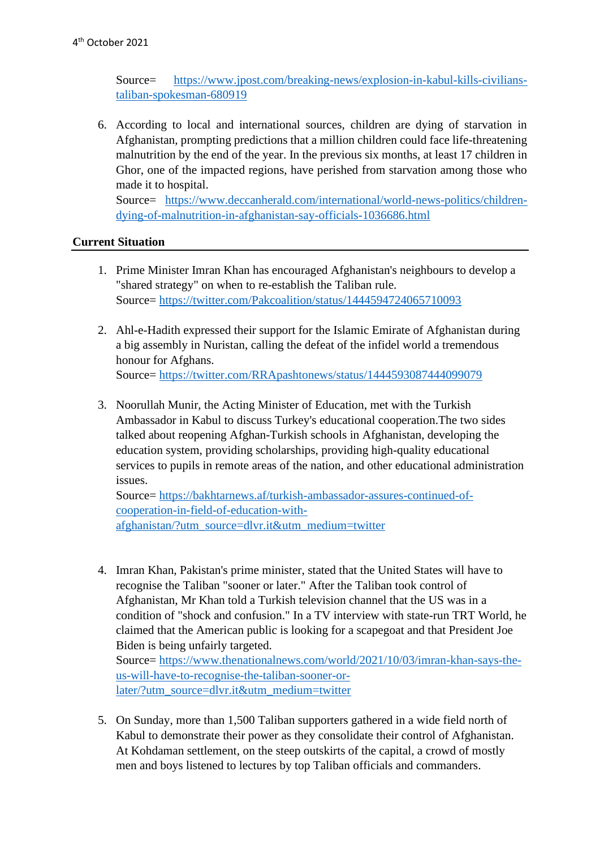Source= [https://www.jpost.com/breaking-news/explosion-in-kabul-kills-civilians](https://www.jpost.com/breaking-news/explosion-in-kabul-kills-civilians-taliban-spokesman-680919)[taliban-spokesman-680919](https://www.jpost.com/breaking-news/explosion-in-kabul-kills-civilians-taliban-spokesman-680919)

6. According to local and international sources, children are dying of starvation in Afghanistan, prompting predictions that a million children could face life-threatening malnutrition by the end of the year. In the previous six months, at least 17 children in Ghor, one of the impacted regions, have perished from starvation among those who made it to hospital.

Source= [https://www.deccanherald.com/international/world-news-politics/children](https://www.deccanherald.com/international/world-news-politics/children-dying-of-malnutrition-in-afghanistan-say-officials-1036686.html)[dying-of-malnutrition-in-afghanistan-say-officials-1036686.html](https://www.deccanherald.com/international/world-news-politics/children-dying-of-malnutrition-in-afghanistan-say-officials-1036686.html)

## **Current Situation**

- 1. Prime Minister Imran Khan has encouraged Afghanistan's neighbours to develop a "shared strategy" on when to re-establish the Taliban rule. Source=<https://twitter.com/Pakcoalition/status/1444594724065710093>
- 2. Ahl-e-Hadith expressed their support for the Islamic Emirate of Afghanistan during a big assembly in Nuristan, calling the defeat of the infidel world a tremendous honour for Afghans. Source=<https://twitter.com/RRApashtonews/status/1444593087444099079>
- 3. Noorullah Munir, the Acting Minister of Education, met with the Turkish Ambassador in Kabul to discuss Turkey's educational cooperation.The two sides talked about reopening Afghan-Turkish schools in Afghanistan, developing the education system, providing scholarships, providing high-quality educational services to pupils in remote areas of the nation, and other educational administration issues.

Source= [https://bakhtarnews.af/turkish-ambassador-assures-continued-of](https://bakhtarnews.af/turkish-ambassador-assures-continued-of-cooperation-in-field-of-education-with-afghanistan/?utm_source=dlvr.it&utm_medium=twitter)[cooperation-in-field-of-education-with](https://bakhtarnews.af/turkish-ambassador-assures-continued-of-cooperation-in-field-of-education-with-afghanistan/?utm_source=dlvr.it&utm_medium=twitter)[afghanistan/?utm\\_source=dlvr.it&utm\\_medium=twitter](https://bakhtarnews.af/turkish-ambassador-assures-continued-of-cooperation-in-field-of-education-with-afghanistan/?utm_source=dlvr.it&utm_medium=twitter)

4. Imran Khan, Pakistan's prime minister, stated that the United States will have to recognise the Taliban "sooner or later." After the Taliban took control of Afghanistan, Mr Khan told a Turkish television channel that the US was in a condition of "shock and confusion." In a TV interview with state-run TRT World, he claimed that the American public is looking for a scapegoat and that President Joe Biden is being unfairly targeted. Source= [https://www.thenationalnews.com/world/2021/10/03/imran-khan-says-the-](https://www.thenationalnews.com/world/2021/10/03/imran-khan-says-the-us-will-have-to-recognise-the-taliban-sooner-or-later/?utm_source=dlvr.it&utm_medium=twitter)

[us-will-have-to-recognise-the-taliban-sooner-or](https://www.thenationalnews.com/world/2021/10/03/imran-khan-says-the-us-will-have-to-recognise-the-taliban-sooner-or-later/?utm_source=dlvr.it&utm_medium=twitter)[later/?utm\\_source=dlvr.it&utm\\_medium=twitter](https://www.thenationalnews.com/world/2021/10/03/imran-khan-says-the-us-will-have-to-recognise-the-taliban-sooner-or-later/?utm_source=dlvr.it&utm_medium=twitter)

5. On Sunday, more than 1,500 Taliban supporters gathered in a wide field north of Kabul to demonstrate their power as they consolidate their control of Afghanistan. At Kohdaman settlement, on the steep outskirts of the capital, a crowd of mostly men and boys listened to lectures by top Taliban officials and commanders.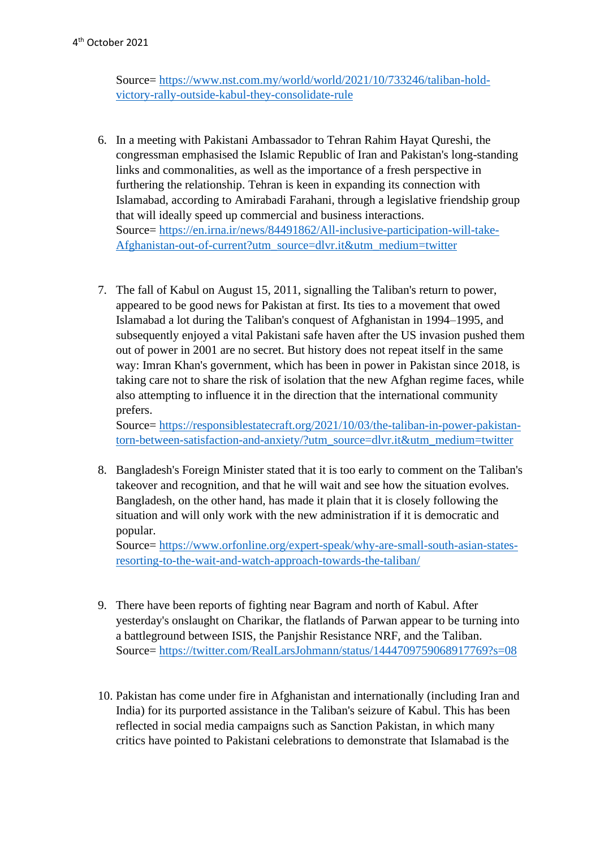Source= [https://www.nst.com.my/world/world/2021/10/733246/taliban-hold](https://www.nst.com.my/world/world/2021/10/733246/taliban-hold-victory-rally-outside-kabul-they-consolidate-rule)[victory-rally-outside-kabul-they-consolidate-rule](https://www.nst.com.my/world/world/2021/10/733246/taliban-hold-victory-rally-outside-kabul-they-consolidate-rule)

- 6. In a meeting with Pakistani Ambassador to Tehran Rahim Hayat Qureshi, the congressman emphasised the Islamic Republic of Iran and Pakistan's long-standing links and commonalities, as well as the importance of a fresh perspective in furthering the relationship. Tehran is keen in expanding its connection with Islamabad, according to Amirabadi Farahani, through a legislative friendship group that will ideally speed up commercial and business interactions. Source= [https://en.irna.ir/news/84491862/All-inclusive-participation-will-take-](https://en.irna.ir/news/84491862/All-inclusive-participation-will-take-Afghanistan-out-of-current?utm_source=dlvr.it&utm_medium=twitter)[Afghanistan-out-of-current?utm\\_source=dlvr.it&utm\\_medium=twitter](https://en.irna.ir/news/84491862/All-inclusive-participation-will-take-Afghanistan-out-of-current?utm_source=dlvr.it&utm_medium=twitter)
- 7. The fall of Kabul on August 15, 2011, signalling the Taliban's return to power, appeared to be good news for Pakistan at first. Its ties to a movement that owed Islamabad a lot during the Taliban's conquest of Afghanistan in 1994–1995, and subsequently enjoyed a vital Pakistani safe haven after the US invasion pushed them out of power in 2001 are no secret. But history does not repeat itself in the same way: Imran Khan's government, which has been in power in Pakistan since 2018, is taking care not to share the risk of isolation that the new Afghan regime faces, while also attempting to influence it in the direction that the international community prefers.

Source= [https://responsiblestatecraft.org/2021/10/03/the-taliban-in-power-pakistan](https://responsiblestatecraft.org/2021/10/03/the-taliban-in-power-pakistan-torn-between-satisfaction-and-anxiety/?utm_source=dlvr.it&utm_medium=twitter)[torn-between-satisfaction-and-anxiety/?utm\\_source=dlvr.it&utm\\_medium=twitter](https://responsiblestatecraft.org/2021/10/03/the-taliban-in-power-pakistan-torn-between-satisfaction-and-anxiety/?utm_source=dlvr.it&utm_medium=twitter)

8. Bangladesh's Foreign Minister stated that it is too early to comment on the Taliban's takeover and recognition, and that he will wait and see how the situation evolves. Bangladesh, on the other hand, has made it plain that it is closely following the situation and will only work with the new administration if it is democratic and popular.

Source= [https://www.orfonline.org/expert-speak/why-are-small-south-asian-states](https://www.orfonline.org/expert-speak/why-are-small-south-asian-states-resorting-to-the-wait-and-watch-approach-towards-the-taliban/)[resorting-to-the-wait-and-watch-approach-towards-the-taliban/](https://www.orfonline.org/expert-speak/why-are-small-south-asian-states-resorting-to-the-wait-and-watch-approach-towards-the-taliban/)

- 9. There have been reports of fighting near Bagram and north of Kabul. After yesterday's onslaught on Charikar, the flatlands of Parwan appear to be turning into a battleground between ISIS, the Panjshir Resistance NRF, and the Taliban. Source=<https://twitter.com/RealLarsJohmann/status/1444709759068917769?s=08>
- 10. Pakistan has come under fire in Afghanistan and internationally (including Iran and India) for its purported assistance in the Taliban's seizure of Kabul. This has been reflected in social media campaigns such as Sanction Pakistan, in which many critics have pointed to Pakistani celebrations to demonstrate that Islamabad is the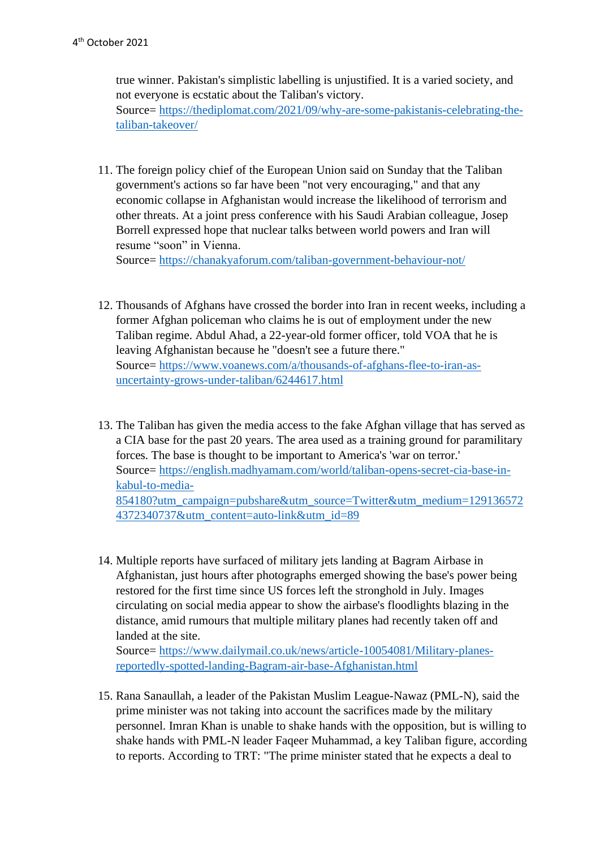true winner. Pakistan's simplistic labelling is unjustified. It is a varied society, and not everyone is ecstatic about the Taliban's victory. Source= [https://thediplomat.com/2021/09/why-are-some-pakistanis-celebrating-the](https://thediplomat.com/2021/09/why-are-some-pakistanis-celebrating-the-taliban-takeover/)[taliban-takeover/](https://thediplomat.com/2021/09/why-are-some-pakistanis-celebrating-the-taliban-takeover/)

11. The foreign policy chief of the European Union said on Sunday that the Taliban government's actions so far have been "not very encouraging," and that any economic collapse in Afghanistan would increase the likelihood of terrorism and other threats. At a joint press conference with his Saudi Arabian colleague, Josep Borrell expressed hope that nuclear talks between world powers and Iran will resume "soon" in Vienna.

Source=<https://chanakyaforum.com/taliban-government-behaviour-not/>

- 12. Thousands of Afghans have crossed the border into Iran in recent weeks, including a former Afghan policeman who claims he is out of employment under the new Taliban regime. Abdul Ahad, a 22-year-old former officer, told VOA that he is leaving Afghanistan because he "doesn't see a future there." Source= [https://www.voanews.com/a/thousands-of-afghans-flee-to-iran-as](https://www.voanews.com/a/thousands-of-afghans-flee-to-iran-as-uncertainty-grows-under-taliban/6244617.html)[uncertainty-grows-under-taliban/6244617.html](https://www.voanews.com/a/thousands-of-afghans-flee-to-iran-as-uncertainty-grows-under-taliban/6244617.html)
- 13. The Taliban has given the media access to the fake Afghan village that has served as a CIA base for the past 20 years. The area used as a training ground for paramilitary forces. The base is thought to be important to America's 'war on terror.' Source= [https://english.madhyamam.com/world/taliban-opens-secret-cia-base-in](https://english.madhyamam.com/world/taliban-opens-secret-cia-base-in-kabul-to-media-854180?utm_campaign=pubshare&utm_source=Twitter&utm_medium=1291365724372340737&utm_content=auto-link&utm_id=89)[kabul-to-media-](https://english.madhyamam.com/world/taliban-opens-secret-cia-base-in-kabul-to-media-854180?utm_campaign=pubshare&utm_source=Twitter&utm_medium=1291365724372340737&utm_content=auto-link&utm_id=89)[854180?utm\\_campaign=pubshare&utm\\_source=Twitter&utm\\_medium=129136572](https://english.madhyamam.com/world/taliban-opens-secret-cia-base-in-kabul-to-media-854180?utm_campaign=pubshare&utm_source=Twitter&utm_medium=1291365724372340737&utm_content=auto-link&utm_id=89) [4372340737&utm\\_content=auto-link&utm\\_id=89](https://english.madhyamam.com/world/taliban-opens-secret-cia-base-in-kabul-to-media-854180?utm_campaign=pubshare&utm_source=Twitter&utm_medium=1291365724372340737&utm_content=auto-link&utm_id=89)
- 14. Multiple reports have surfaced of military jets landing at Bagram Airbase in Afghanistan, just hours after photographs emerged showing the base's power being restored for the first time since US forces left the stronghold in July. Images circulating on social media appear to show the airbase's floodlights blazing in the distance, amid rumours that multiple military planes had recently taken off and landed at the site.

Source= [https://www.dailymail.co.uk/news/article-10054081/Military-planes](https://www.dailymail.co.uk/news/article-10054081/Military-planes-reportedly-spotted-landing-Bagram-air-base-Afghanistan.html)[reportedly-spotted-landing-Bagram-air-base-Afghanistan.html](https://www.dailymail.co.uk/news/article-10054081/Military-planes-reportedly-spotted-landing-Bagram-air-base-Afghanistan.html)

15. Rana Sanaullah, a leader of the Pakistan Muslim League-Nawaz (PML-N), said the prime minister was not taking into account the sacrifices made by the military personnel. Imran Khan is unable to shake hands with the opposition, but is willing to shake hands with PML-N leader Faqeer Muhammad, a key Taliban figure, according to reports. According to TRT: "The prime minister stated that he expects a deal to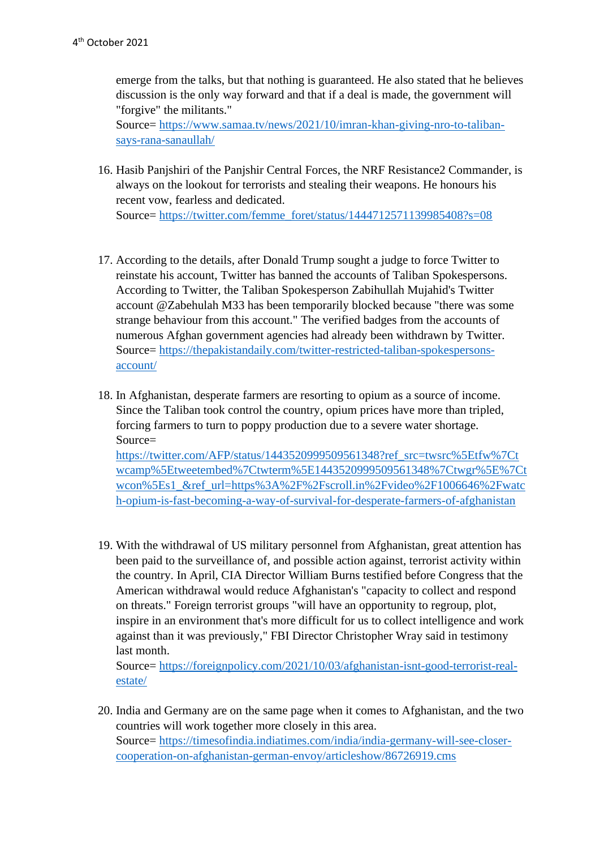emerge from the talks, but that nothing is guaranteed. He also stated that he believes discussion is the only way forward and that if a deal is made, the government will "forgive" the militants." Source= [https://www.samaa.tv/news/2021/10/imran-khan-giving-nro-to-taliban](https://www.samaa.tv/news/2021/10/imran-khan-giving-nro-to-taliban-says-rana-sanaullah/)[says-rana-sanaullah/](https://www.samaa.tv/news/2021/10/imran-khan-giving-nro-to-taliban-says-rana-sanaullah/)

16. Hasib Panjshiri of the Panjshir Central Forces, the NRF Resistance2 Commander, is always on the lookout for terrorists and stealing their weapons. He honours his recent vow, fearless and dedicated.

Source= [https://twitter.com/femme\\_foret/status/1444712571139985408?s=08](https://twitter.com/femme_foret/status/1444712571139985408?s=08)

- 17. According to the details, after Donald Trump sought a judge to force Twitter to reinstate his account, Twitter has banned the accounts of Taliban Spokespersons. According to Twitter, the Taliban Spokesperson Zabihullah Mujahid's Twitter account @Zabehulah M33 has been temporarily blocked because "there was some strange behaviour from this account." The verified badges from the accounts of numerous Afghan government agencies had already been withdrawn by Twitter. Source= [https://thepakistandaily.com/twitter-restricted-taliban-spokespersons](https://thepakistandaily.com/twitter-restricted-taliban-spokespersons-account/)[account/](https://thepakistandaily.com/twitter-restricted-taliban-spokespersons-account/)
- 18. In Afghanistan, desperate farmers are resorting to opium as a source of income. Since the Taliban took control the country, opium prices have more than tripled, forcing farmers to turn to poppy production due to a severe water shortage. Source= [https://twitter.com/AFP/status/1443520999509561348?ref\\_src=twsrc%5Etfw%7Ct](https://twitter.com/AFP/status/1443520999509561348?ref_src=twsrc%5Etfw%7Ctwcamp%5Etweetembed%7Ctwterm%5E1443520999509561348%7Ctwgr%5E%7Ctwcon%5Es1_&ref_url=https%3A%2F%2Fscroll.in%2Fvideo%2F1006646%2Fwatch-opium-is-fast-becoming-a-way-of-survival-for-desperate-farmers-of-afghanistan)

[wcamp%5Etweetembed%7Ctwterm%5E1443520999509561348%7Ctwgr%5E%7Ct](https://twitter.com/AFP/status/1443520999509561348?ref_src=twsrc%5Etfw%7Ctwcamp%5Etweetembed%7Ctwterm%5E1443520999509561348%7Ctwgr%5E%7Ctwcon%5Es1_&ref_url=https%3A%2F%2Fscroll.in%2Fvideo%2F1006646%2Fwatch-opium-is-fast-becoming-a-way-of-survival-for-desperate-farmers-of-afghanistan) [wcon%5Es1\\_&ref\\_url=https%3A%2F%2Fscroll.in%2Fvideo%2F1006646%2Fwatc](https://twitter.com/AFP/status/1443520999509561348?ref_src=twsrc%5Etfw%7Ctwcamp%5Etweetembed%7Ctwterm%5E1443520999509561348%7Ctwgr%5E%7Ctwcon%5Es1_&ref_url=https%3A%2F%2Fscroll.in%2Fvideo%2F1006646%2Fwatch-opium-is-fast-becoming-a-way-of-survival-for-desperate-farmers-of-afghanistan) [h-opium-is-fast-becoming-a-way-of-survival-for-desperate-farmers-of-afghanistan](https://twitter.com/AFP/status/1443520999509561348?ref_src=twsrc%5Etfw%7Ctwcamp%5Etweetembed%7Ctwterm%5E1443520999509561348%7Ctwgr%5E%7Ctwcon%5Es1_&ref_url=https%3A%2F%2Fscroll.in%2Fvideo%2F1006646%2Fwatch-opium-is-fast-becoming-a-way-of-survival-for-desperate-farmers-of-afghanistan)

19. With the withdrawal of US military personnel from Afghanistan, great attention has been paid to the surveillance of, and possible action against, terrorist activity within the country. In April, CIA Director William Burns testified before Congress that the American withdrawal would reduce Afghanistan's "capacity to collect and respond on threats." Foreign terrorist groups "will have an opportunity to regroup, plot, inspire in an environment that's more difficult for us to collect intelligence and work against than it was previously," FBI Director Christopher Wray said in testimony last month.

Source= [https://foreignpolicy.com/2021/10/03/afghanistan-isnt-good-terrorist-real](https://foreignpolicy.com/2021/10/03/afghanistan-isnt-good-terrorist-real-estate/)[estate/](https://foreignpolicy.com/2021/10/03/afghanistan-isnt-good-terrorist-real-estate/)

20. India and Germany are on the same page when it comes to Afghanistan, and the two countries will work together more closely in this area. Source= [https://timesofindia.indiatimes.com/india/india-germany-will-see-closer](https://timesofindia.indiatimes.com/india/india-germany-will-see-closer-cooperation-on-afghanistan-german-envoy/articleshow/86726919.cms)[cooperation-on-afghanistan-german-envoy/articleshow/86726919.cms](https://timesofindia.indiatimes.com/india/india-germany-will-see-closer-cooperation-on-afghanistan-german-envoy/articleshow/86726919.cms)